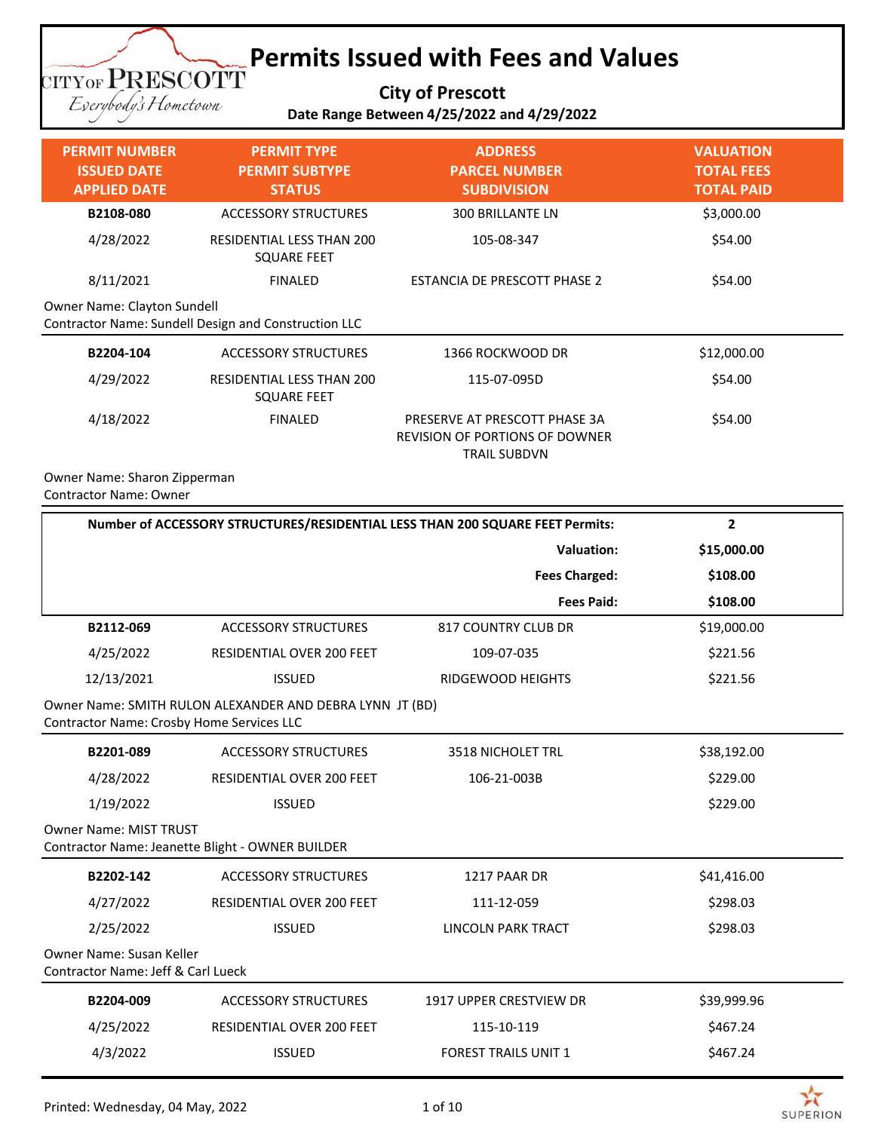#### **Permits Issued with Fees and Values TITYOF PRESCOTT**

**City of Prescott**

Eserybody's Hometown

#### **Date Range Between 4/25/2022 and 4/29/2022**

| <b>PERMIT NUMBER</b><br><b>ISSUED DATE</b><br><b>APPLIED DATE</b> | <b>PERMIT TYPE</b><br><b>PERMIT SUBTYPE</b><br><b>STATUS</b> | <b>ADDRESS</b><br><b>PARCEL NUMBER</b><br><b>SUBDIVISION</b>                           | <b>VALUATION</b><br><b>TOTAL FEES</b><br><b>TOTAL PAID</b> |
|-------------------------------------------------------------------|--------------------------------------------------------------|----------------------------------------------------------------------------------------|------------------------------------------------------------|
| B2108-080                                                         | <b>ACCESSORY STRUCTURES</b>                                  | <b>300 BRILLANTE LN</b>                                                                | \$3,000.00                                                 |
| 4/28/2022                                                         | RESIDENTIAL LESS THAN 200<br><b>SQUARE FEET</b>              | 105-08-347                                                                             | \$54.00                                                    |
| 8/11/2021                                                         | <b>FINALED</b>                                               | <b>ESTANCIA DE PRESCOTT PHASE 2</b>                                                    | \$54.00                                                    |
| Owner Name: Clayton Sundell                                       | Contractor Name: Sundell Design and Construction LLC         |                                                                                        |                                                            |
| B2204-104                                                         | <b>ACCESSORY STRUCTURES</b>                                  | 1366 ROCKWOOD DR                                                                       | \$12,000.00                                                |
| 4/29/2022                                                         | RESIDENTIAL LESS THAN 200<br><b>SQUARE FEET</b>              | 115-07-095D                                                                            | \$54.00                                                    |
| 4/18/2022                                                         | <b>FINALED</b>                                               | PRESERVE AT PRESCOTT PHASE 3A<br>REVISION OF PORTIONS OF DOWNER<br><b>TRAIL SUBDVN</b> | \$54.00                                                    |

Owner Name: Sharon Zipperman Contractor Name: Owner

|                                                                           | Number of ACCESSORY STRUCTURES/RESIDENTIAL LESS THAN 200 SQUARE FEET Permits: |                                | $\overline{2}$ |
|---------------------------------------------------------------------------|-------------------------------------------------------------------------------|--------------------------------|----------------|
|                                                                           |                                                                               | <b>Valuation:</b>              | \$15,000.00    |
|                                                                           |                                                                               | <b>Fees Charged:</b>           | \$108.00       |
|                                                                           |                                                                               | <b>Fees Paid:</b>              | \$108.00       |
| B2112-069                                                                 | <b>ACCESSORY STRUCTURES</b>                                                   | <b>817 COUNTRY CLUB DR</b>     | \$19,000.00    |
| 4/25/2022                                                                 | RESIDENTIAL OVER 200 FEET                                                     | 109-07-035                     | \$221.56       |
| 12/13/2021                                                                | <b>ISSUED</b>                                                                 | <b>RIDGEWOOD HEIGHTS</b>       | \$221.56       |
| Contractor Name: Crosby Home Services LLC                                 | Owner Name: SMITH RULON ALEXANDER AND DEBRA LYNN JT (BD)                      |                                |                |
| B2201-089                                                                 | <b>ACCESSORY STRUCTURES</b>                                                   | <b>3518 NICHOLET TRL</b>       | \$38,192.00    |
| 4/28/2022                                                                 | <b>RESIDENTIAL OVER 200 FEET</b>                                              | 106-21-003B                    | \$229.00       |
| 1/19/2022                                                                 | <b>ISSUED</b>                                                                 |                                | \$229.00       |
| <b>Owner Name: MIST TRUST</b>                                             | Contractor Name: Jeanette Blight - OWNER BUILDER                              |                                |                |
| B2202-142                                                                 | <b>ACCESSORY STRUCTURES</b>                                                   | 1217 PAAR DR                   | \$41,416.00    |
| 4/27/2022                                                                 | <b>RESIDENTIAL OVER 200 FEET</b>                                              | 111-12-059                     | \$298.03       |
| 2/25/2022                                                                 | <b>ISSUED</b>                                                                 | <b>LINCOLN PARK TRACT</b>      | \$298.03       |
| Owner Name: Susan Keller<br><b>Contractor Name: Jeff &amp; Carl Lueck</b> |                                                                               |                                |                |
| B2204-009                                                                 | <b>ACCESSORY STRUCTURES</b>                                                   | <b>1917 UPPER CRESTVIEW DR</b> | \$39,999.96    |
| 4/25/2022                                                                 | <b>RESIDENTIAL OVER 200 FEET</b>                                              | 115-10-119                     | \$467.24       |
| 4/3/2022                                                                  | <b>ISSUED</b>                                                                 | <b>FOREST TRAILS UNIT 1</b>    | \$467.24       |

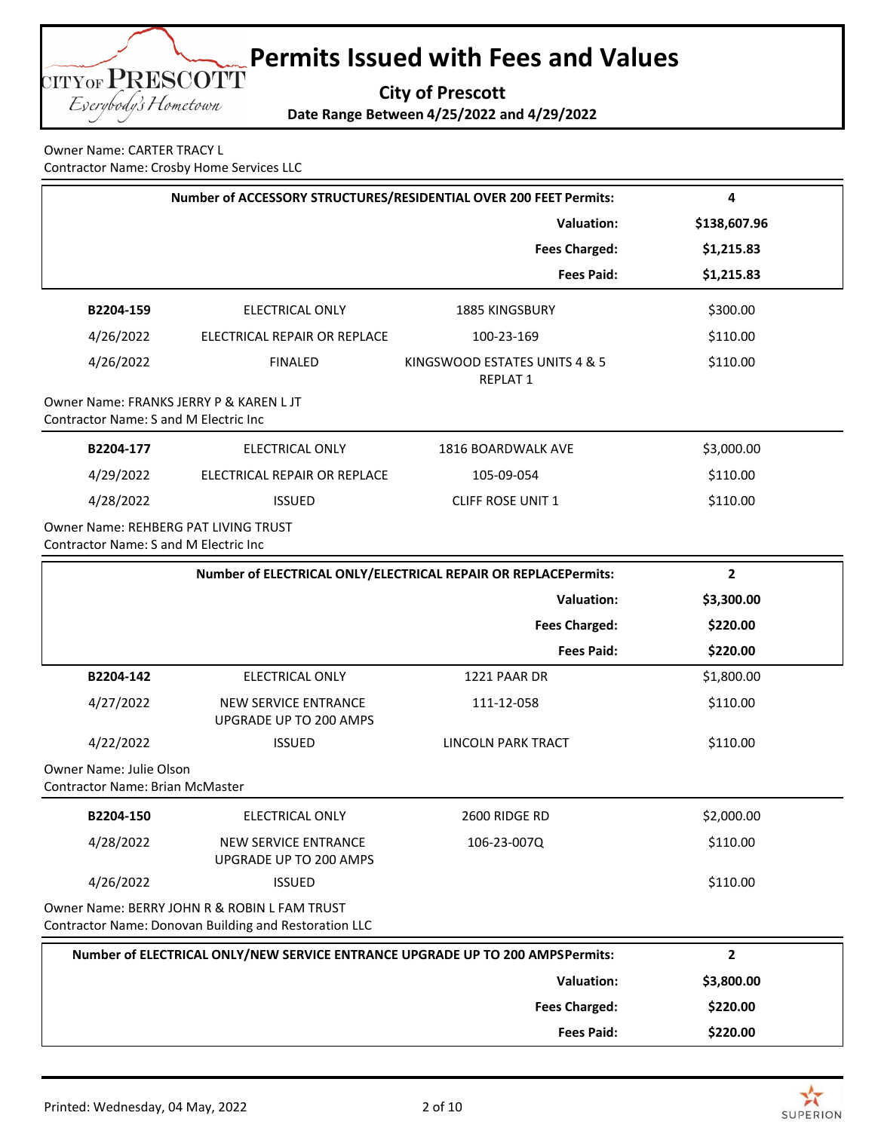

Owner Name: CARTER TRACY L Contractor Name: Crosby Home Services LLC

|                                                                                      | Number of ACCESSORY STRUCTURES/RESIDENTIAL OVER 200 FEET Permits:                                     |                                                                | 4              |
|--------------------------------------------------------------------------------------|-------------------------------------------------------------------------------------------------------|----------------------------------------------------------------|----------------|
|                                                                                      |                                                                                                       | <b>Valuation:</b>                                              | \$138,607.96   |
|                                                                                      |                                                                                                       | <b>Fees Charged:</b>                                           | \$1,215.83     |
|                                                                                      |                                                                                                       | <b>Fees Paid:</b>                                              | \$1,215.83     |
| B2204-159                                                                            | <b>ELECTRICAL ONLY</b>                                                                                | 1885 KINGSBURY                                                 | \$300.00       |
| 4/26/2022                                                                            | ELECTRICAL REPAIR OR REPLACE                                                                          | 100-23-169                                                     | \$110.00       |
| 4/26/2022                                                                            | <b>FINALED</b>                                                                                        | KINGSWOOD ESTATES UNITS 4 & 5<br><b>REPLAT 1</b>               | \$110.00       |
| Owner Name: FRANKS JERRY P & KAREN L JT<br>Contractor Name: S and M Electric Inc     |                                                                                                       |                                                                |                |
| B2204-177                                                                            | <b>ELECTRICAL ONLY</b>                                                                                | 1816 BOARDWALK AVE                                             | \$3,000.00     |
| 4/29/2022                                                                            | ELECTRICAL REPAIR OR REPLACE                                                                          | 105-09-054                                                     | \$110.00       |
| 4/28/2022                                                                            | <b>ISSUED</b>                                                                                         | <b>CLIFF ROSE UNIT 1</b>                                       | \$110.00       |
| <b>Owner Name: REHBERG PAT LIVING TRUST</b><br>Contractor Name: S and M Electric Inc |                                                                                                       |                                                                |                |
|                                                                                      |                                                                                                       | Number of ELECTRICAL ONLY/ELECTRICAL REPAIR OR REPLACEPermits: | $\overline{2}$ |
|                                                                                      |                                                                                                       | <b>Valuation:</b>                                              | \$3,300.00     |
|                                                                                      |                                                                                                       | <b>Fees Charged:</b>                                           | \$220.00       |
|                                                                                      |                                                                                                       | <b>Fees Paid:</b>                                              | \$220.00       |
| B2204-142                                                                            | <b>ELECTRICAL ONLY</b>                                                                                | 1221 PAAR DR                                                   | \$1,800.00     |
| 4/27/2022                                                                            | <b>NEW SERVICE ENTRANCE</b><br>UPGRADE UP TO 200 AMPS                                                 | 111-12-058                                                     | \$110.00       |
| 4/22/2022                                                                            | <b>ISSUED</b>                                                                                         | LINCOLN PARK TRACT                                             | \$110.00       |
| <b>Owner Name: Julie Olson</b><br><b>Contractor Name: Brian McMaster</b>             |                                                                                                       |                                                                |                |
| B2204-150                                                                            | ELECTRICAL ONLY                                                                                       | 2600 RIDGE RD                                                  | \$2,000.00     |
| 4/28/2022                                                                            | <b>NEW SERVICE ENTRANCE</b><br>UPGRADE UP TO 200 AMPS                                                 | 106-23-007Q                                                    | \$110.00       |
| 4/26/2022                                                                            | <b>ISSUED</b>                                                                                         |                                                                | \$110.00       |
|                                                                                      | Owner Name: BERRY JOHN R & ROBIN L FAM TRUST<br>Contractor Name: Donovan Building and Restoration LLC |                                                                |                |
|                                                                                      | Number of ELECTRICAL ONLY/NEW SERVICE ENTRANCE UPGRADE UP TO 200 AMPSPermits:                         |                                                                | $\overline{2}$ |
|                                                                                      |                                                                                                       | <b>Valuation:</b>                                              | \$3,800.00     |
|                                                                                      |                                                                                                       | <b>Fees Charged:</b>                                           | \$220.00       |
|                                                                                      |                                                                                                       | <b>Fees Paid:</b>                                              | \$220.00       |

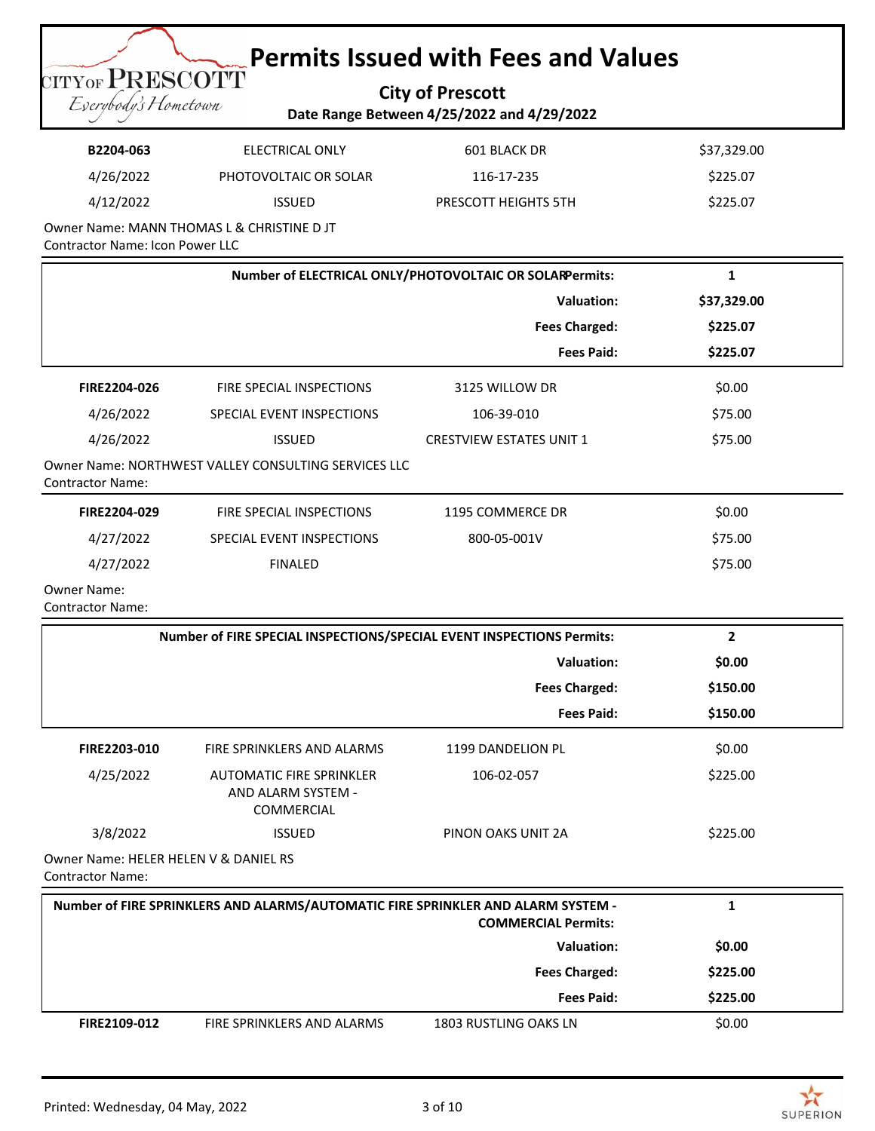**City of Prescott Date Range Between 4/25/2022 and 4/29/2022**

| B2204-063 | ELECTRICAL ONLY       | 601 BLACK DR         | \$37,329.00 |
|-----------|-----------------------|----------------------|-------------|
| 4/26/2022 | PHOTOVOLTAIC OR SOLAR | 116-17-235           | \$225.07    |
| 4/12/2022 | <b>ISSUED</b>         | PRESCOTT HEIGHTS 5TH | \$225.07    |
|           |                       |                      |             |

Owner Name: MANN THOMAS L & CHRISTINE D JT Contractor Name: Icon Power LLC

**TITYOF PRESCOTT** Eserybody's Hometown

| Number of ELECTRICAL ONLY/PHOTOVOLTAIC OR SOLARPermits: |                                                      | 1                               |             |
|---------------------------------------------------------|------------------------------------------------------|---------------------------------|-------------|
|                                                         |                                                      | Valuation:                      | \$37,329.00 |
|                                                         |                                                      | <b>Fees Charged:</b>            | \$225.07    |
|                                                         |                                                      | <b>Fees Paid:</b>               | \$225.07    |
| FIRE2204-026                                            | FIRE SPECIAL INSPECTIONS                             | 3125 WILLOW DR                  | \$0.00      |
| 4/26/2022                                               | SPECIAL EVENT INSPECTIONS                            | 106-39-010                      | \$75.00     |
| 4/26/2022                                               | <b>ISSUED</b>                                        | <b>CRESTVIEW ESTATES UNIT 1</b> | \$75.00     |
| <b>Contractor Name:</b>                                 | Owner Name: NORTHWEST VALLEY CONSULTING SERVICES LLC |                                 |             |
| FIRE2204-029                                            | FIRE SPECIAL INSPECTIONS                             | 1195 COMMERCE DR                | \$0.00      |
| 4/27/2022                                               | SPECIAL EVENT INSPECTIONS                            | 800-05-001V                     | \$75.00     |
| 4/27/2022                                               | <b>FINALED</b>                                       |                                 | \$75.00     |
|                                                         |                                                      |                                 |             |

Owner Name:

Contractor Name:

| Number of FIRE SPECIAL INSPECTIONS/SPECIAL EVENT INSPECTIONS Permits: |                                                                     |                      | 2        |  |  |  |
|-----------------------------------------------------------------------|---------------------------------------------------------------------|----------------------|----------|--|--|--|
|                                                                       |                                                                     | <b>Valuation:</b>    | \$0.00   |  |  |  |
|                                                                       |                                                                     | <b>Fees Charged:</b> | \$150.00 |  |  |  |
|                                                                       |                                                                     | <b>Fees Paid:</b>    | \$150.00 |  |  |  |
| FIRE2203-010                                                          | FIRE SPRINKLERS AND ALARMS                                          | 1199 DANDELION PL    | \$0.00   |  |  |  |
| 4/25/2022                                                             | AUTOMATIC FIRE SPRINKLER<br>AND ALARM SYSTEM -<br><b>COMMERCIAL</b> | 106-02-057           | \$225.00 |  |  |  |
| 3/8/2022                                                              | <b>ISSUED</b>                                                       | PINON OAKS UNIT 2A   | \$225.00 |  |  |  |
|                                                                       | Owner Name: HELER HELEN V & DANIEL RS                               |                      |          |  |  |  |

Contractor Name:

|                     | Number of FIRE SPRINKLERS AND ALARMS/AUTOMATIC FIRE SPRINKLER AND ALARM SYSTEM - | <b>COMMERCIAL Permits:</b> |          |
|---------------------|----------------------------------------------------------------------------------|----------------------------|----------|
|                     |                                                                                  | Valuation:                 | \$0.00   |
|                     |                                                                                  | <b>Fees Charged:</b>       | \$225.00 |
|                     |                                                                                  | <b>Fees Paid:</b>          | \$225.00 |
| <b>FIRE2109-012</b> | FIRE SPRINKLERS AND ALARMS                                                       | 1803 RUSTLING OAKS LN      | \$0.00   |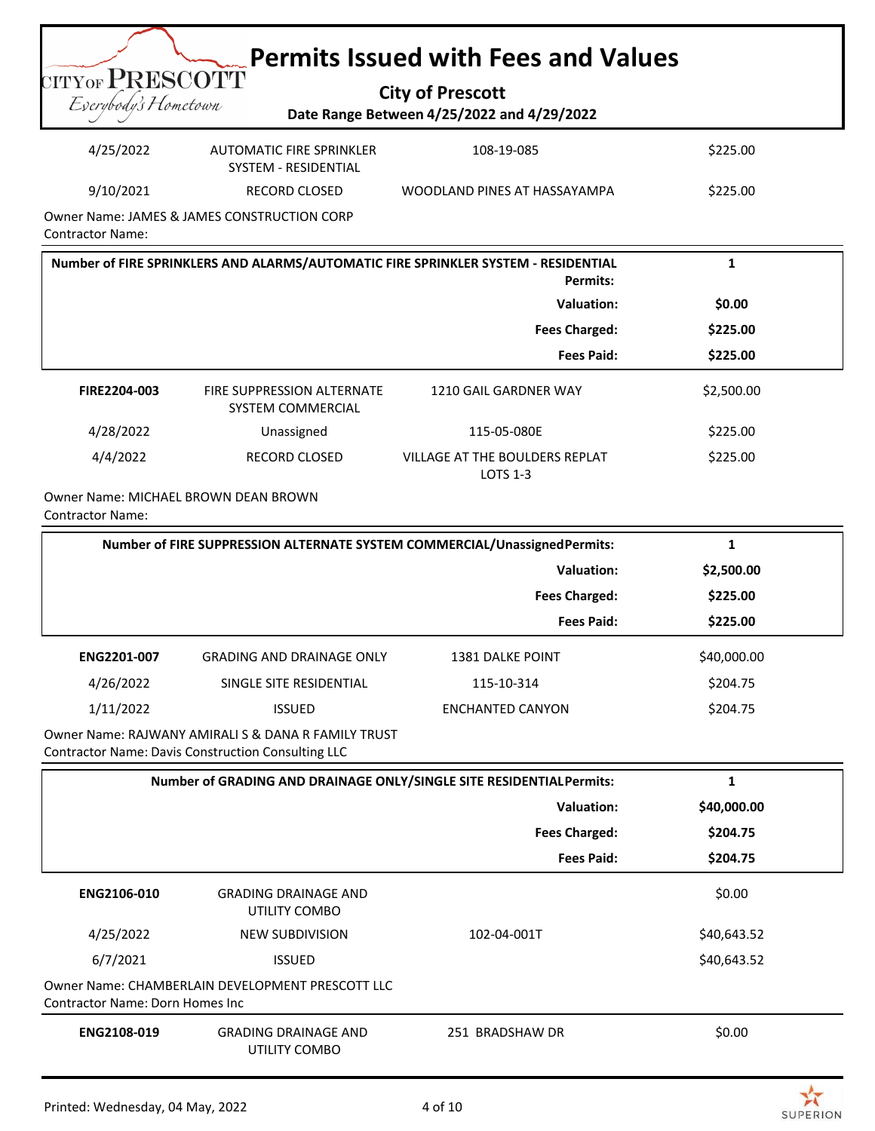| <b>City of Prescott</b>                    |
|--------------------------------------------|
| Date Range Between 4/25/2022 and 4/29/2022 |

Eserybody's Hometown

**TITY OF PRESCOTT** 

| 4/25/2022 | AUTOMATIC FIRE SPRINKLER<br>SYSTEM - RESIDENTIAL | 108-19-085                   | \$225.00 |
|-----------|--------------------------------------------------|------------------------------|----------|
| 9/10/2021 | RECORD CLOSED                                    | WOODLAND PINES AT HASSAYAMPA | \$225.00 |
|           |                                                  |                              |          |

Owner Name: JAMES & JAMES CONSTRUCTION CORP Contractor Name:

| Number of FIRE SPRINKLERS AND ALARMS/AUTOMATIC FIRE SPRINKLER SYSTEM - RESIDENTIAL<br><b>Permits:</b> |                                                        | ÷.                                                |            |
|-------------------------------------------------------------------------------------------------------|--------------------------------------------------------|---------------------------------------------------|------------|
|                                                                                                       |                                                        | Valuation:                                        | \$0.00     |
|                                                                                                       |                                                        | <b>Fees Charged:</b>                              | \$225.00   |
|                                                                                                       |                                                        | <b>Fees Paid:</b>                                 | \$225.00   |
| FIRE2204-003                                                                                          | FIRE SUPPRESSION ALTERNATE<br><b>SYSTEM COMMERCIAL</b> | 1210 GAIL GARDNER WAY                             | \$2,500.00 |
| 4/28/2022                                                                                             | Unassigned                                             | 115-05-080E                                       | \$225.00   |
| 4/4/2022                                                                                              | <b>RECORD CLOSED</b>                                   | VILLAGE AT THE BOULDERS REPLAT<br><b>LOTS 1-3</b> | \$225.00   |

Owner Name: MICHAEL BROWN DEAN BROWN

Contractor Name:

| Number of FIRE SUPPRESSION ALTERNATE SYSTEM COMMERCIAL/UnassignedPermits: |                                  |                         | ┻.          |  |
|---------------------------------------------------------------------------|----------------------------------|-------------------------|-------------|--|
|                                                                           |                                  | <b>Valuation:</b>       | \$2,500.00  |  |
|                                                                           |                                  | <b>Fees Charged:</b>    | \$225.00    |  |
|                                                                           |                                  | <b>Fees Paid:</b>       | \$225.00    |  |
| ENG2201-007                                                               | <b>GRADING AND DRAINAGE ONLY</b> | <b>1381 DALKE POINT</b> | \$40,000.00 |  |
| 4/26/2022                                                                 | SINGLE SITE RESIDENTIAL          | 115-10-314              | \$204.75    |  |
| 1/11/2022                                                                 | <b>ISSUED</b>                    | <b>ENCHANTED CANYON</b> | \$204.75    |  |
|                                                                           |                                  |                         |             |  |

Owner Name: RAJWANY AMIRALI S & DANA R FAMILY TRUST Contractor Name: Davis Construction Consulting LLC

| Number of GRADING AND DRAINAGE ONLY/SINGLE SITE RESIDENTIAL Permits:                 |                                              |                      | 1           |
|--------------------------------------------------------------------------------------|----------------------------------------------|----------------------|-------------|
|                                                                                      |                                              | Valuation:           | \$40,000.00 |
|                                                                                      |                                              | <b>Fees Charged:</b> | \$204.75    |
|                                                                                      |                                              | <b>Fees Paid:</b>    | \$204.75    |
| ENG2106-010                                                                          | <b>GRADING DRAINAGE AND</b><br>UTILITY COMBO |                      | \$0.00      |
| 4/25/2022                                                                            | <b>NEW SUBDIVISION</b>                       | 102-04-001T          | \$40,643.52 |
| 6/7/2021                                                                             | <b>ISSUED</b>                                |                      | \$40,643.52 |
| Owner Name: CHAMBERLAIN DEVELOPMENT PRESCOTT LLC<br>Contractor Name: Dorn Homes Inc. |                                              |                      |             |
| ENG2108-019                                                                          | <b>GRADING DRAINAGE AND</b><br>UTILITY COMBO | 251 BRADSHAW DR      | \$0.00      |

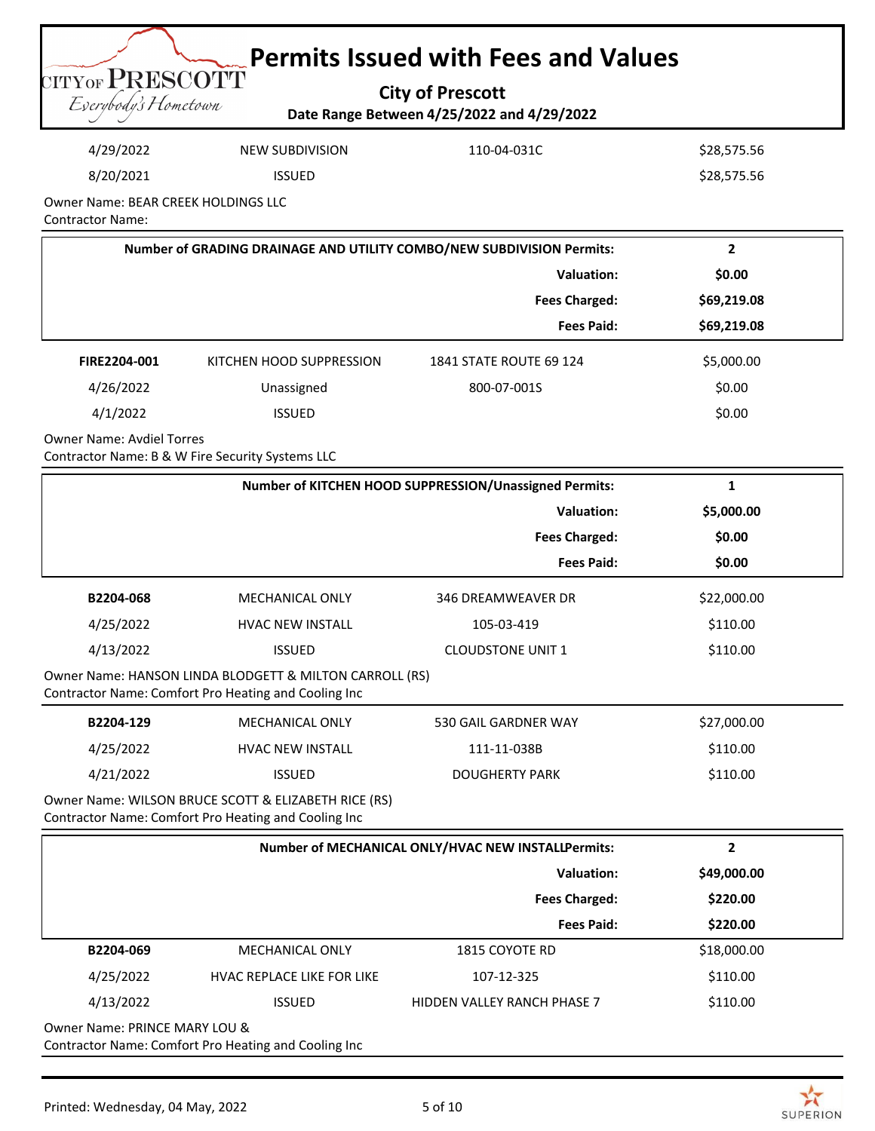|                                         | <b>Let Permits Issued with Fees and Values</b> |  |
|-----------------------------------------|------------------------------------------------|--|
| CITYOF PRESCOTT<br>Everybody's Hometown | <b>City of Prescott</b>                        |  |
|                                         | Date Range Between 4/25/2022 and 4/29/2022     |  |

| 4/29/2022    | NEW SUBDIVISION | 110-04-031C | \$28,575.56 |  |  |
|--------------|-----------------|-------------|-------------|--|--|
| 8/20/2021    | <b>ISSUED</b>   |             | \$28,575.56 |  |  |
| $\mathbf{A}$ |                 |             |             |  |  |

Owner Name: BEAR CREEK HOLDINGS LLC Contractor Name:

| Number of GRADING DRAINAGE AND UTILITY COMBO/NEW SUBDIVISION Permits: |                          |                                | 2           |  |
|-----------------------------------------------------------------------|--------------------------|--------------------------------|-------------|--|
|                                                                       | Valuation:               |                                |             |  |
|                                                                       |                          | <b>Fees Charged:</b>           | \$69,219.08 |  |
|                                                                       |                          | <b>Fees Paid:</b>              | \$69,219.08 |  |
| FIRE2204-001                                                          | KITCHEN HOOD SUPPRESSION | <b>1841 STATE ROUTE 69 124</b> | \$5,000.00  |  |
| 4/26/2022                                                             | Unassigned               | 800-07-001S                    | \$0.00      |  |
| 4/1/2022                                                              | <b>ISSUED</b>            |                                | \$0.00      |  |

Owner Name: Avdiel Torres

Contractor Name: B & W Fire Security Systems LLC

| Number of KITCHEN HOOD SUPPRESSION/Unassigned Permits: |                                                                                                                 |                          | Ŧ.          |  |
|--------------------------------------------------------|-----------------------------------------------------------------------------------------------------------------|--------------------------|-------------|--|
|                                                        |                                                                                                                 | Valuation:               | \$5,000.00  |  |
|                                                        | <b>Fees Charged:</b>                                                                                            |                          |             |  |
|                                                        |                                                                                                                 | <b>Fees Paid:</b>        | \$0.00      |  |
| B2204-068                                              | <b>MECHANICAL ONLY</b>                                                                                          | 346 DREAMWEAVER DR       | \$22,000.00 |  |
| 4/25/2022                                              | <b>HVAC NEW INSTALL</b>                                                                                         | 105-03-419               | \$110.00    |  |
| 4/13/2022                                              | <b>ISSUED</b>                                                                                                   | <b>CLOUDSTONE UNIT 1</b> | \$110.00    |  |
|                                                        | Owner Name: HANSON LINDA BLODGETT & MILTON CARROLL (RS)<br>Contractor Name: Comfort Pro Heating and Cooling Inc |                          |             |  |

| B2204-129 | MECHANICAL ONLY         | 530 GAIL GARDNER WAY | \$27,000.00 |
|-----------|-------------------------|----------------------|-------------|
| 4/25/2022 | <b>HVAC NEW INSTALL</b> | 111-11-038B          | \$110.00    |
| 4/21/2022 | <b>ISSUED</b>           | DOUGHERTY PARK       | \$110.00    |

Owner Name: WILSON BRUCE SCOTT & ELIZABETH RICE (RS) Contractor Name: Comfort Pro Heating and Cooling Inc

| Number of MECHANICAL ONLY/HVAC NEW INSTALLPermits: |                                   |                                    | 2           |  |  |  |
|----------------------------------------------------|-----------------------------------|------------------------------------|-------------|--|--|--|
|                                                    | Valuation:                        |                                    |             |  |  |  |
|                                                    |                                   | <b>Fees Charged:</b>               | \$220.00    |  |  |  |
|                                                    |                                   | <b>Fees Paid:</b>                  | \$220.00    |  |  |  |
| B2204-069                                          | <b>MECHANICAL ONLY</b>            | 1815 COYOTE RD                     | \$18,000.00 |  |  |  |
| 4/25/2022                                          | <b>HVAC REPLACE LIKE FOR LIKE</b> | 107-12-325                         | \$110.00    |  |  |  |
| 4/13/2022                                          | <b>ISSUED</b>                     | <b>HIDDEN VALLEY RANCH PHASE 7</b> | \$110.00    |  |  |  |
| Owner Name: PRINCE MARY LOU &                      |                                   |                                    |             |  |  |  |

Contractor Name: Comfort Pro Heating and Cooling Inc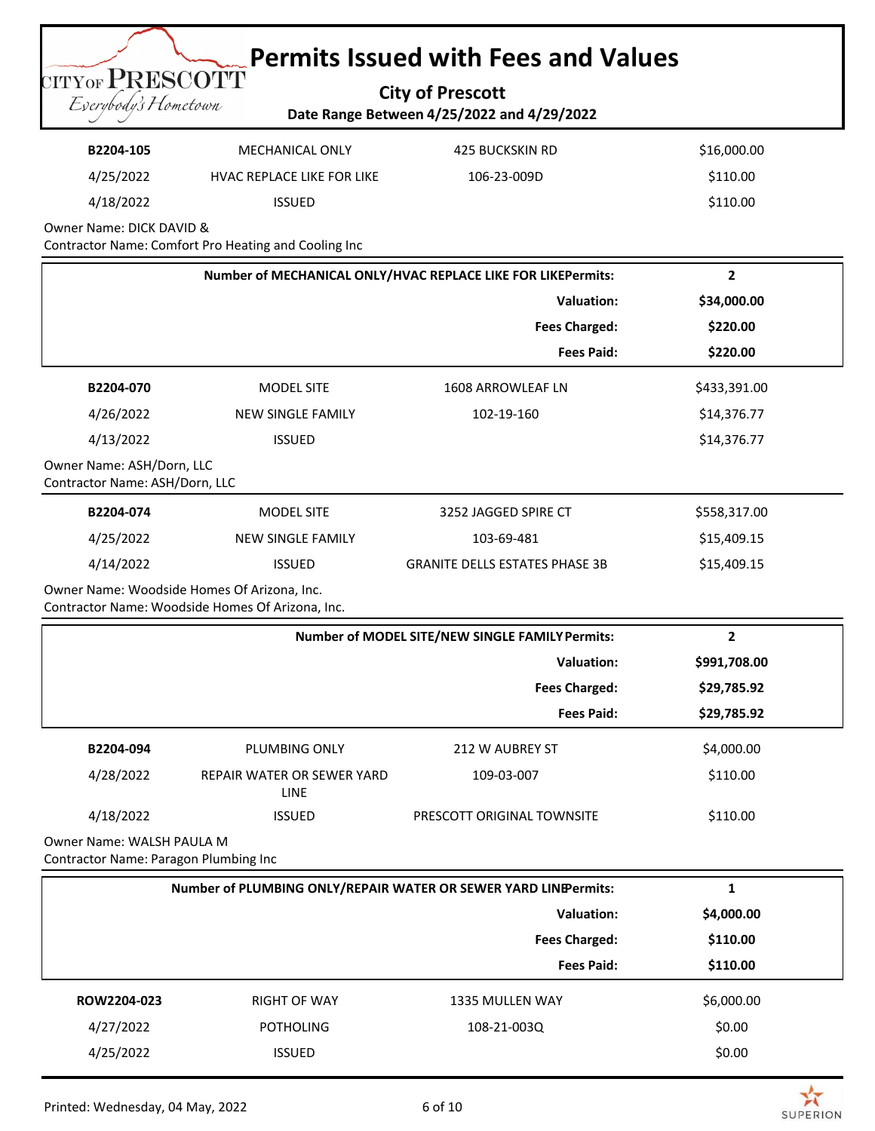**City of Prescott Date Range Between 4/25/2022 and 4/29/2022**

Eserybody's Hometown

**TITYOF PRESCOTT** 

| B2204-105 | MECHANICAL ONLY                   | 425 BUCKSKIN RD | \$16,000.00 |
|-----------|-----------------------------------|-----------------|-------------|
| 4/25/2022 | <b>HVAC REPLACE LIKE FOR LIKE</b> | 106-23-009D     | \$110.00    |
| 4/18/2022 | <b>ISSUED</b>                     |                 | \$110.00    |

Owner Name: DICK DAVID &

Contractor Name: Comfort Pro Heating and Cooling Inc

|                                                             |                          | Number of MECHANICAL ONLY/HVAC REPLACE LIKE FOR LIKEPermits: | $\overline{2}$ |
|-------------------------------------------------------------|--------------------------|--------------------------------------------------------------|----------------|
|                                                             |                          | <b>Valuation:</b>                                            | \$34,000.00    |
|                                                             |                          | <b>Fees Charged:</b>                                         | \$220.00       |
|                                                             |                          | <b>Fees Paid:</b>                                            | \$220.00       |
| B2204-070                                                   | <b>MODEL SITE</b>        | <b>1608 ARROWLEAF LN</b>                                     | \$433,391.00   |
| 4/26/2022                                                   | <b>NEW SINGLE FAMILY</b> | 102-19-160                                                   | \$14,376.77    |
| 4/13/2022                                                   | <b>ISSUED</b>            |                                                              | \$14,376.77    |
| Owner Name: ASH/Dorn, LLC<br>Contractor Name: ASH/Dorn, LLC |                          |                                                              |                |
| B2204-074                                                   | <b>MODEL SITE</b>        | 3252 JAGGED SPIRE CT                                         | \$558,317.00   |
| 4/25/2022                                                   | <b>NEW SINGLE FAMILY</b> | 103-69-481                                                   | \$15,409.15    |
| 4/14/2022                                                   | <b>ISSUED</b>            | <b>GRANITE DELLS ESTATES PHASE 3B</b>                        | \$15,409.15    |
| Owner Name: Woodside Homes Of Arizona, Inc.                 |                          |                                                              |                |

Contractor Name: Woodside Homes Of Arizona, Inc.

|                      | Number of MODEL SITE/NEW SINGLE FAMILY Permits: |                            |             |
|----------------------|-------------------------------------------------|----------------------------|-------------|
|                      | Valuation:                                      |                            |             |
| <b>Fees Charged:</b> |                                                 |                            | \$29,785.92 |
|                      |                                                 | <b>Fees Paid:</b>          | \$29,785.92 |
| B2204-094            | PLUMBING ONLY                                   | 212 W AUBREY ST            | \$4,000.00  |
| 4/28/2022            | REPAIR WATER OR SEWER YARD<br><b>LINE</b>       | 109-03-007                 | \$110.00    |
| 4/18/2022            | <b>ISSUED</b>                                   | PRESCOTT ORIGINAL TOWNSITE | \$110.00    |

Owner Name: WALSH PAULA M Contractor Name: Paragon Plumbing Inc

| Number of PLUMBING ONLY/REPAIR WATER OR SEWER YARD LINEPermits: |                     |                      | J.         |  |
|-----------------------------------------------------------------|---------------------|----------------------|------------|--|
| Valuation:                                                      |                     |                      | \$4,000.00 |  |
|                                                                 |                     | <b>Fees Charged:</b> | \$110.00   |  |
|                                                                 |                     | <b>Fees Paid:</b>    | \$110.00   |  |
| ROW2204-023                                                     | <b>RIGHT OF WAY</b> | 1335 MULLEN WAY      | \$6,000.00 |  |
| 4/27/2022                                                       | <b>POTHOLING</b>    | 108-21-003Q          | \$0.00     |  |
| 4/25/2022                                                       | <b>ISSUED</b>       |                      | \$0.00     |  |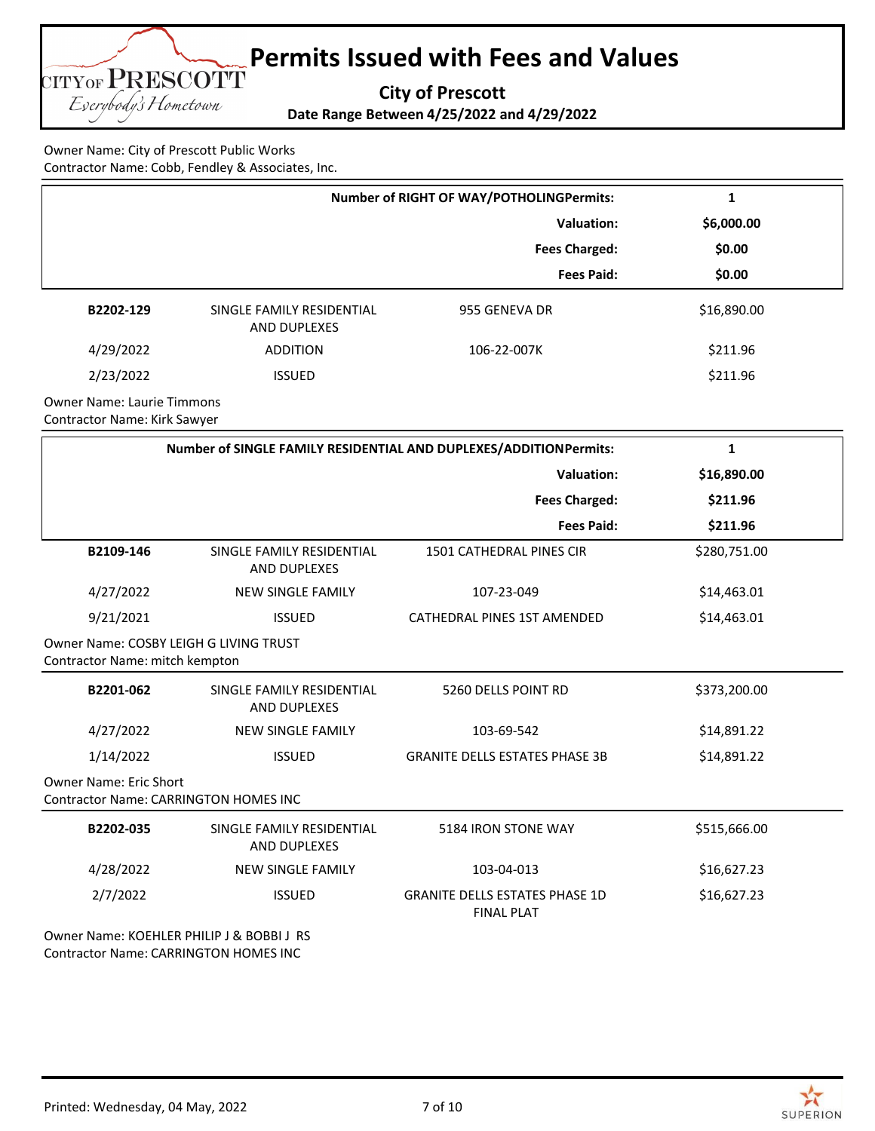**City of Prescott**

**Date Range Between 4/25/2022 and 4/29/2022**

Owner Name: City of Prescott Public Works Contractor Name: Cobb, Fendley & Associates, Inc.

**TITYOF PRESCOTT** Eserybody's Hometown

|                                   | <b>Number of RIGHT OF WAY/POTHOLINGPermits:</b>  |                      | 1           |  |  |
|-----------------------------------|--------------------------------------------------|----------------------|-------------|--|--|
|                                   |                                                  | Valuation:           | \$6,000.00  |  |  |
|                                   |                                                  | <b>Fees Charged:</b> | \$0.00      |  |  |
|                                   |                                                  | <b>Fees Paid:</b>    | \$0.00      |  |  |
| B2202-129                         | SINGLE FAMILY RESIDENTIAL<br><b>AND DUPLEXES</b> | 955 GENEVA DR        | \$16,890.00 |  |  |
| 4/29/2022                         | <b>ADDITION</b>                                  | 106-22-007K          | \$211.96    |  |  |
| 2/23/2022                         | <b>ISSUED</b>                                    |                      | \$211.96    |  |  |
| <b>Owner Name: Laurie Timmons</b> |                                                  |                      |             |  |  |

Contractor Name: Kirk Sawyer

| Number of SINGLE FAMILY RESIDENTIAL AND DUPLEXES/ADDITIONPermits:             |                                                  |                                                            | 1            |  |
|-------------------------------------------------------------------------------|--------------------------------------------------|------------------------------------------------------------|--------------|--|
|                                                                               |                                                  | <b>Valuation:</b>                                          | \$16,890.00  |  |
|                                                                               |                                                  | <b>Fees Charged:</b>                                       | \$211.96     |  |
|                                                                               |                                                  | <b>Fees Paid:</b>                                          | \$211.96     |  |
| B2109-146                                                                     | SINGLE FAMILY RESIDENTIAL<br><b>AND DUPLEXES</b> | <b>1501 CATHEDRAL PINES CIR</b>                            | \$280,751.00 |  |
| 4/27/2022                                                                     | <b>NEW SINGLE FAMILY</b>                         | 107-23-049                                                 | \$14,463.01  |  |
| 9/21/2021                                                                     | <b>ISSUED</b>                                    | <b>CATHEDRAL PINES 1ST AMENDED</b>                         | \$14,463.01  |  |
| Owner Name: COSBY LEIGH G LIVING TRUST<br>Contractor Name: mitch kempton      |                                                  |                                                            |              |  |
| B2201-062                                                                     | SINGLE FAMILY RESIDENTIAL<br><b>AND DUPLEXES</b> | 5260 DELLS POINT RD                                        | \$373,200.00 |  |
| 4/27/2022                                                                     | <b>NEW SINGLE FAMILY</b>                         | 103-69-542                                                 | \$14,891.22  |  |
| 1/14/2022                                                                     | <b>ISSUED</b>                                    | <b>GRANITE DELLS ESTATES PHASE 3B</b>                      | \$14,891.22  |  |
| <b>Owner Name: Eric Short</b><br><b>Contractor Name: CARRINGTON HOMES INC</b> |                                                  |                                                            |              |  |
| B2202-035                                                                     | SINGLE FAMILY RESIDENTIAL<br><b>AND DUPLEXES</b> | 5184 IRON STONE WAY                                        | \$515,666.00 |  |
| 4/28/2022                                                                     | <b>NEW SINGLE FAMILY</b>                         | 103-04-013                                                 | \$16,627.23  |  |
| 2/7/2022                                                                      | <b>ISSUED</b>                                    | <b>GRANITE DELLS ESTATES PHASE 1D</b><br><b>FINAL PLAT</b> | \$16,627.23  |  |
| Owner Name: KOEHLER PHILIP J & BOBBI J RS                                     |                                                  |                                                            |              |  |

Contractor Name: CARRINGTON HOMES INC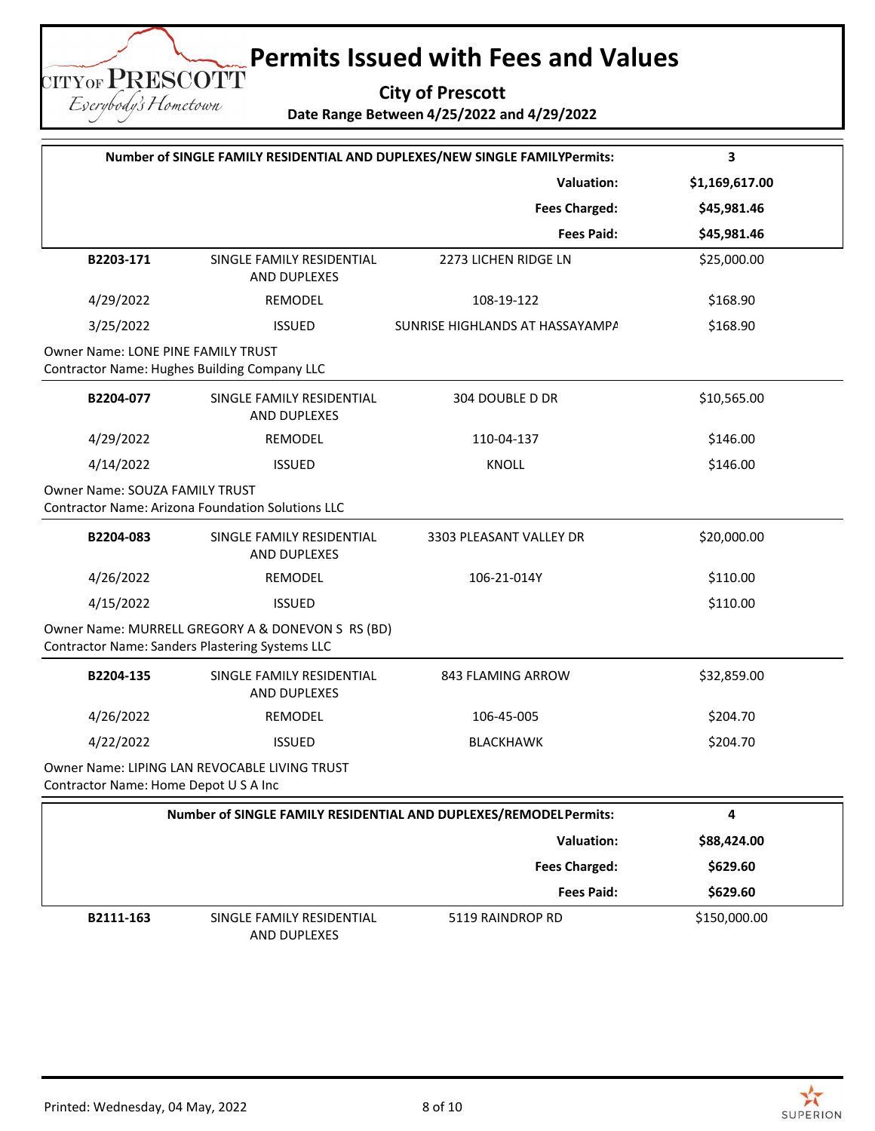**City of Prescott**

**Date Range Between 4/25/2022 and 4/29/2022**

| Number of SINGLE FAMILY RESIDENTIAL AND DUPLEXES/NEW SINGLE FAMILYPermits: |                                                                                                      |                                 | 3              |  |
|----------------------------------------------------------------------------|------------------------------------------------------------------------------------------------------|---------------------------------|----------------|--|
|                                                                            |                                                                                                      | <b>Valuation:</b>               | \$1,169,617.00 |  |
|                                                                            |                                                                                                      | <b>Fees Charged:</b>            | \$45,981.46    |  |
|                                                                            |                                                                                                      | <b>Fees Paid:</b>               | \$45,981.46    |  |
| B2203-171                                                                  | SINGLE FAMILY RESIDENTIAL<br>AND DUPLEXES                                                            | 2273 LICHEN RIDGE LN            | \$25,000.00    |  |
| 4/29/2022                                                                  | REMODEL                                                                                              | 108-19-122                      | \$168.90       |  |
| 3/25/2022                                                                  | <b>ISSUED</b>                                                                                        | SUNRISE HIGHLANDS AT HASSAYAMPA | \$168.90       |  |
| <b>Owner Name: LONE PINE FAMILY TRUST</b>                                  | <b>Contractor Name: Hughes Building Company LLC</b>                                                  |                                 |                |  |
| B2204-077                                                                  | SINGLE FAMILY RESIDENTIAL<br>AND DUPLEXES                                                            | 304 DOUBLE D DR                 | \$10,565.00    |  |
| 4/29/2022                                                                  | <b>REMODEL</b>                                                                                       | 110-04-137                      | \$146.00       |  |
| 4/14/2022                                                                  | <b>ISSUED</b>                                                                                        | <b>KNOLL</b>                    | \$146.00       |  |
| Owner Name: SOUZA FAMILY TRUST                                             | <b>Contractor Name: Arizona Foundation Solutions LLC</b>                                             |                                 |                |  |
| B2204-083                                                                  | SINGLE FAMILY RESIDENTIAL<br>AND DUPLEXES                                                            | 3303 PLEASANT VALLEY DR         | \$20,000.00    |  |
| 4/26/2022                                                                  | <b>REMODEL</b>                                                                                       | 106-21-014Y                     | \$110.00       |  |
| 4/15/2022                                                                  | <b>ISSUED</b>                                                                                        |                                 | \$110.00       |  |
|                                                                            | Owner Name: MURRELL GREGORY A & DONEVON S RS (BD)<br>Contractor Name: Sanders Plastering Systems LLC |                                 |                |  |
| B2204-135                                                                  | SINGLE FAMILY RESIDENTIAL<br><b>AND DUPLEXES</b>                                                     | 843 FLAMING ARROW               | \$32,859.00    |  |
| 4/26/2022                                                                  | REMODEL                                                                                              | 106-45-005                      | \$204.70       |  |
| 4/22/2022                                                                  | <b>ISSUED</b>                                                                                        | <b>BLACKHAWK</b>                | \$204.70       |  |
| Contractor Name: Home Depot U S A Inc                                      | Owner Name: LIPING LAN REVOCABLE LIVING TRUST                                                        |                                 |                |  |
| Number of SINGLE FAMILY RESIDENTIAL AND DUPLEXES/REMODELPermits:           |                                                                                                      |                                 | 4              |  |
|                                                                            |                                                                                                      | Valuation:                      | \$88,424.00    |  |
|                                                                            |                                                                                                      | <b>Fees Charged:</b>            | \$629.60       |  |
|                                                                            |                                                                                                      | <b>Fees Paid:</b>               | \$629.60       |  |
| B2111-163                                                                  | SINGLE FAMILY RESIDENTIAL<br>AND DUPLEXES                                                            | 5119 RAINDROP RD                | \$150,000.00   |  |

**TITYOF PRESCOTT** Eserybody's Hometown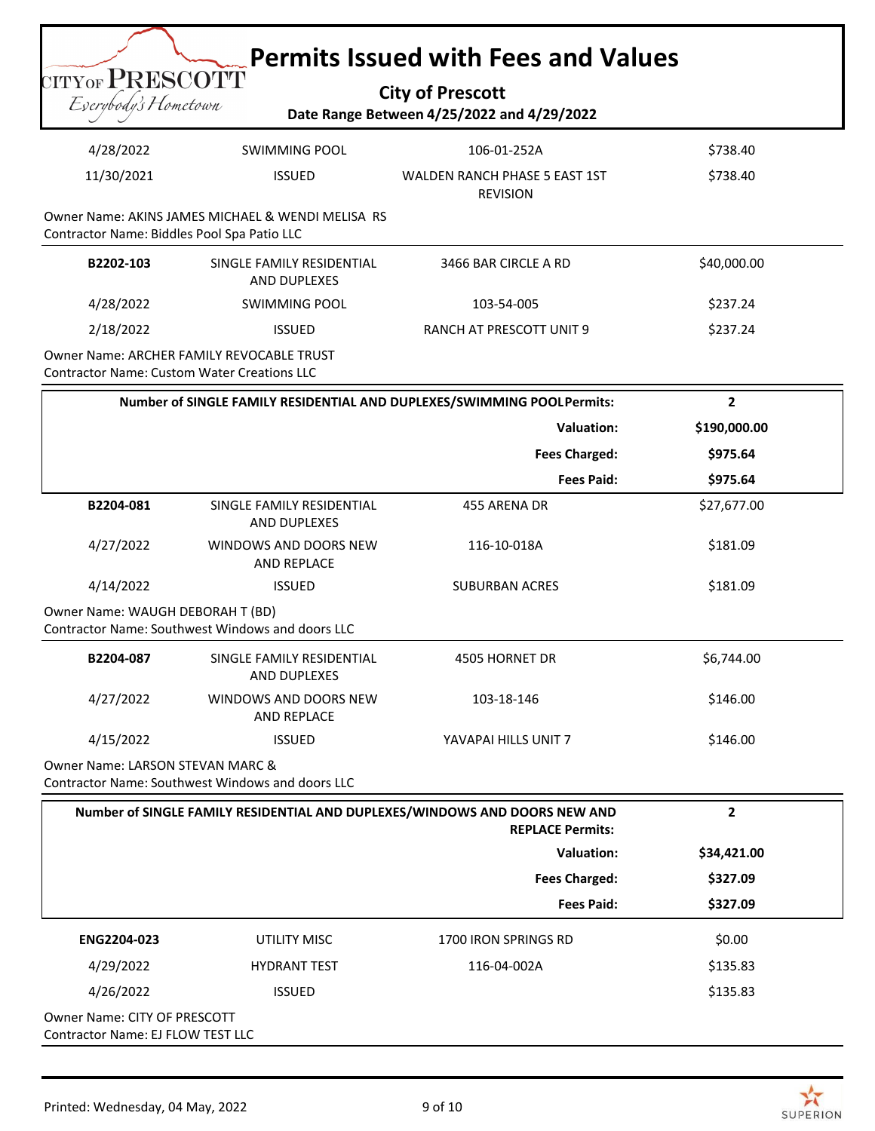| <b>Permits Issued with Fees and Values</b><br>CITYOF PRESCOTT<br><b>City of Prescott</b><br>Eserybody's Hometown<br>Date Range Between 4/25/2022 and 4/29/2022 |                                                   |                                                                                                       |                |  |  |
|----------------------------------------------------------------------------------------------------------------------------------------------------------------|---------------------------------------------------|-------------------------------------------------------------------------------------------------------|----------------|--|--|
| 4/28/2022                                                                                                                                                      | <b>SWIMMING POOL</b>                              | 106-01-252A                                                                                           | \$738.40       |  |  |
| 11/30/2021                                                                                                                                                     | <b>ISSUED</b>                                     | <b>WALDEN RANCH PHASE 5 EAST 1ST</b><br><b>REVISION</b>                                               | \$738.40       |  |  |
| Contractor Name: Biddles Pool Spa Patio LLC                                                                                                                    | Owner Name: AKINS JAMES MICHAEL & WENDI MELISA RS |                                                                                                       |                |  |  |
| B2202-103                                                                                                                                                      | SINGLE FAMILY RESIDENTIAL<br>AND DUPLEXES         | 3466 BAR CIRCLE A RD                                                                                  | \$40,000.00    |  |  |
| 4/28/2022                                                                                                                                                      | <b>SWIMMING POOL</b>                              | 103-54-005                                                                                            | \$237.24       |  |  |
| 2/18/2022                                                                                                                                                      | <b>ISSUED</b>                                     | RANCH AT PRESCOTT UNIT 9                                                                              | \$237.24       |  |  |
| <b>Contractor Name: Custom Water Creations LLC</b>                                                                                                             | Owner Name: ARCHER FAMILY REVOCABLE TRUST         |                                                                                                       |                |  |  |
|                                                                                                                                                                |                                                   | Number of SINGLE FAMILY RESIDENTIAL AND DUPLEXES/SWIMMING POOLPermits:                                | $\mathbf{2}$   |  |  |
|                                                                                                                                                                |                                                   | <b>Valuation:</b>                                                                                     | \$190,000.00   |  |  |
|                                                                                                                                                                |                                                   | <b>Fees Charged:</b>                                                                                  | \$975.64       |  |  |
|                                                                                                                                                                |                                                   | <b>Fees Paid:</b>                                                                                     | \$975.64       |  |  |
| B2204-081                                                                                                                                                      | SINGLE FAMILY RESIDENTIAL<br>AND DUPLEXES         | 455 ARENA DR                                                                                          | \$27,677.00    |  |  |
| 4/27/2022                                                                                                                                                      | WINDOWS AND DOORS NEW<br>AND REPLACE              | 116-10-018A                                                                                           | \$181.09       |  |  |
| 4/14/2022                                                                                                                                                      | <b>ISSUED</b>                                     | <b>SUBURBAN ACRES</b>                                                                                 | \$181.09       |  |  |
| Owner Name: WAUGH DEBORAH T (BD)<br>Contractor Name: Southwest Windows and doors LLC                                                                           |                                                   |                                                                                                       |                |  |  |
| B2204-087                                                                                                                                                      | SINGLE FAMILY RESIDENTIAL<br>AND DUPLEXES         | 4505 HORNET DR                                                                                        | \$6,744.00     |  |  |
| 4/27/2022                                                                                                                                                      | WINDOWS AND DOORS NEW<br>AND REPLACE              | 103-18-146                                                                                            | \$146.00       |  |  |
| 4/15/2022                                                                                                                                                      | <b>ISSUED</b>                                     | YAVAPAI HILLS UNIT 7                                                                                  | \$146.00       |  |  |
| <b>Owner Name: LARSON STEVAN MARC &amp;</b><br>Contractor Name: Southwest Windows and doors LLC                                                                |                                                   |                                                                                                       |                |  |  |
|                                                                                                                                                                |                                                   | Number of SINGLE FAMILY RESIDENTIAL AND DUPLEXES/WINDOWS AND DOORS NEW AND<br><b>REPLACE Permits:</b> | $\overline{2}$ |  |  |
|                                                                                                                                                                |                                                   | <b>Valuation:</b>                                                                                     | \$34,421.00    |  |  |
|                                                                                                                                                                |                                                   | <b>Fees Charged:</b>                                                                                  | \$327.09       |  |  |
|                                                                                                                                                                |                                                   | <b>Fees Paid:</b>                                                                                     | \$327.09       |  |  |
| ENG2204-023                                                                                                                                                    | UTILITY MISC                                      | 1700 IRON SPRINGS RD                                                                                  | \$0.00         |  |  |
| 4/29/2022                                                                                                                                                      | <b>HYDRANT TEST</b>                               | 116-04-002A                                                                                           | \$135.83       |  |  |
| 4/26/2022                                                                                                                                                      | <b>ISSUED</b>                                     |                                                                                                       | \$135.83       |  |  |
| Owner Name: CITY OF PRESCOTT<br>Contractor Name: EJ FLOW TEST LLC                                                                                              |                                                   |                                                                                                       |                |  |  |